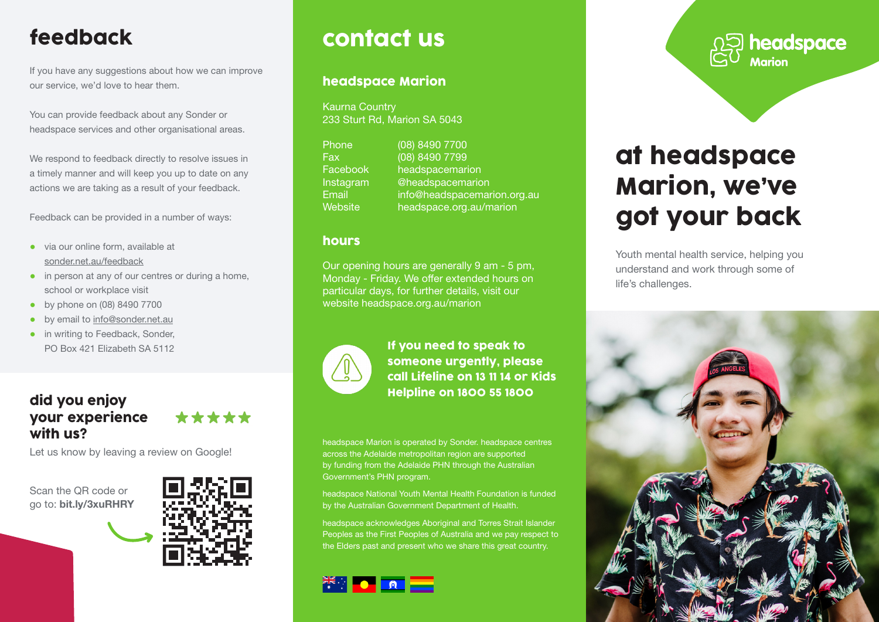# feedback

If you have any suggestions about how we can improve our service, we'd love to hear them.

You can provide feedback about any Sonder or headspace services and other organisational areas.

We respond to feedback directly to resolve issues in a timely manner and will keep you up to date on any actions we are taking as a result of your feedback.

Feedback can be provided in a number of ways:

- via our online form, available at sonder.net.au/feedback
- in person at any of our centres or during a home, school or workplace visit
- by phone on (08) 8490 7700
- by email to info@sonder.net.au
- in writing to Feedback, Sonder, PO Box 421 Elizabeth SA 5112

### did you enjoy your experience with us?

Let us know by leaving a review on Google!

Scan the QR code or go to: bit.ly/3xuRHRY



\*\*\*\*\*

# contact us

#### headspace Marion

Kaurna Country 233 Sturt Rd, Marion SA 5043

Phone (08) 8490 7700 Fax (08) 8490 7799

Facebook headspacemarion Instagram @headspacemarion Email info@headspacemarion.org.au Website headspace.org.au/marion

#### hours

Our opening hours are generally 9 am - 5 pm, Monday - Friday. We offer extended hours on particular days, for further details, visit our website headspace.org.au/marion



If you need to speak to someone urgently, please call Lifeline on 13 11 14 or Kids Helpline on 1800 55 1800

headspace Marion is operated by Sonder. headspace centres across the Adelaide metropolitan region are supported by funding from the Adelaide PHN through the Australian Government's PHN program.

headspace National Youth Mental Health Foundation is funded by the Australian Government Department of Health.

headspace acknowledges Aboriginal and Torres Strait Islander Peoples as the First Peoples of Australia and we pay respect to the Elders past and present who we share this great country.



ුටු headspace Marion

# at headspace Marion, we've got your back

Youth mental health service, helping you understand and work through some of life's challenges.